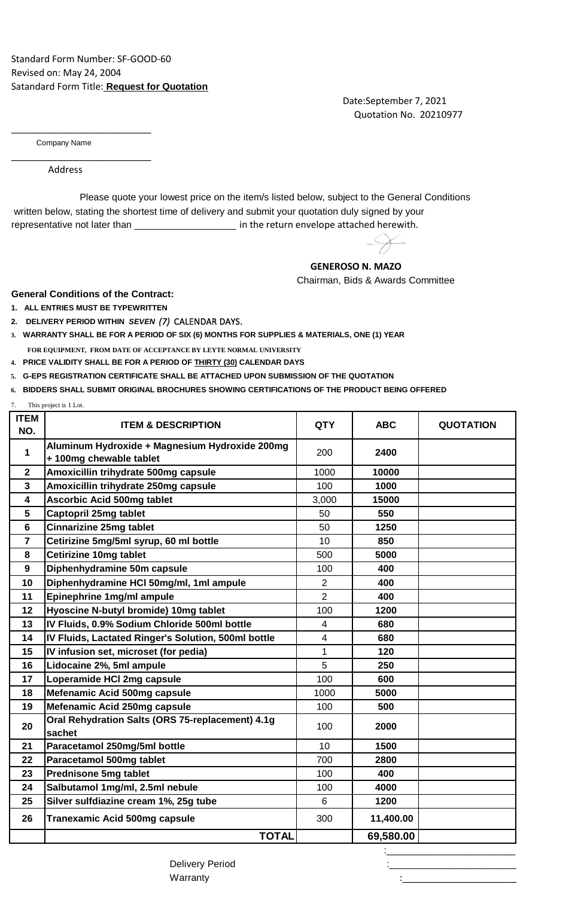Date:September 7, 2021 Quotation No. 20210977

Company Name

\_\_\_\_\_\_\_\_\_\_\_\_\_\_\_\_\_\_\_\_\_\_\_\_\_\_\_

\_\_\_\_\_\_\_\_\_\_\_\_\_\_\_\_\_\_\_\_\_\_\_\_\_\_\_

Address

 written below, stating the shortest time of delivery and submit your quotation duly signed by your representative not later than \_\_\_\_\_\_\_\_\_\_\_\_\_\_\_\_\_\_\_\_\_\_\_ in the return envelope attached herewith. Please quote your lowest price on the item/s listed below, subject to the General Conditions

## **GENEROSO N. MAZO**

Chairman, Bids & Awards Committee

**General Conditions of the Contract:**

- **1. ALL ENTRIES MUST BE TYPEWRITTEN**
- **2. DELIVERY PERIOD WITHIN** *SEVEN (7)* CALENDAR DAYS.
- **3. WARRANTY SHALL BE FOR A PERIOD OF SIX (6) MONTHS FOR SUPPLIES & MATERIALS, ONE (1) YEAR FOR EQUIPMENT, FROM DATE OF ACCEPTANCE BY LEYTE NORMAL UNIVERSITY**
- **4. PRICE VALIDITY SHALL BE FOR A PERIOD OF THIRTY (30) CALENDAR DAYS**
- **5. G-EPS REGISTRATION CERTIFICATE SHALL BE ATTACHED UPON SUBMISSION OF THE QUOTATION**
- **6. BIDDERS SHALL SUBMIT ORIGINAL BROCHURES SHOWING CERTIFICATIONS OF THE PRODUCT BEING OFFERED**
- This project is 1 Lot.

| <b>ITEM</b><br>NO.      | <b>ITEM &amp; DESCRIPTION</b>                                            | <b>QTY</b>              | <b>ABC</b> | <b>QUOTATION</b> |
|-------------------------|--------------------------------------------------------------------------|-------------------------|------------|------------------|
| $\mathbf{1}$            | Aluminum Hydroxide + Magnesium Hydroxide 200mg<br>+100mg chewable tablet | 200                     | 2400       |                  |
| $\mathbf{2}$            | Amoxicillin trihydrate 500mg capsule                                     | 1000                    | 10000      |                  |
| $\overline{\mathbf{3}}$ | Amoxicillin trihydrate 250mg capsule                                     | 100                     | 1000       |                  |
| $\overline{\mathbf{4}}$ | <b>Ascorbic Acid 500mg tablet</b>                                        | 3,000                   | 15000      |                  |
| 5                       | Captopril 25mg tablet                                                    | 50                      | 550        |                  |
| $6\phantom{1}$          | <b>Cinnarizine 25mg tablet</b>                                           | 50                      | 1250       |                  |
| $\overline{7}$          | Cetirizine 5mg/5ml syrup, 60 ml bottle                                   | 10                      | 850        |                  |
| 8                       | <b>Cetirizine 10mg tablet</b>                                            | 500                     | 5000       |                  |
| 9                       | Diphenhydramine 50m capsule                                              | 100                     | 400        |                  |
| 10                      | Diphenhydramine HCI 50mg/ml, 1ml ampule                                  | $\overline{2}$          | 400        |                  |
| 11                      | Epinephrine 1mg/ml ampule                                                | $\overline{2}$          | 400        |                  |
| 12                      | Hyoscine N-butyl bromide) 10mg tablet                                    | 100                     | 1200       |                  |
| 13                      | IV Fluids, 0.9% Sodium Chloride 500ml bottle                             | 4                       | 680        |                  |
| 14                      | IV Fluids, Lactated Ringer's Solution, 500ml bottle                      | $\overline{\mathbf{4}}$ | 680        |                  |
| 15                      | IV infusion set, microset (for pedia)                                    | 1                       | 120        |                  |
| 16                      | Lidocaine 2%, 5ml ampule                                                 | 5                       | 250        |                  |
| 17                      | Loperamide HCI 2mg capsule                                               | 100                     | 600        |                  |
| 18                      | Mefenamic Acid 500mg capsule                                             | 1000                    | 5000       |                  |
| 19                      | Mefenamic Acid 250mg capsule                                             | 100                     | 500        |                  |
| 20                      | Oral Rehydration Salts (ORS 75-replacement) 4.1g<br>sachet               | 100                     | 2000       |                  |
| 21                      | Paracetamol 250mg/5ml bottle                                             | 10                      | 1500       |                  |
| 22                      | Paracetamol 500mg tablet                                                 | 700                     | 2800       |                  |
| 23                      | <b>Prednisone 5mg tablet</b>                                             | 100                     | 400        |                  |
| 24                      | Salbutamol 1mg/ml, 2.5ml nebule                                          | 100                     | 4000       |                  |
| 25                      | Silver sulfdiazine cream 1%, 25g tube                                    | 6                       | 1200       |                  |
| 26                      | <b>Tranexamic Acid 500mg capsule</b>                                     | 300                     | 11,400.00  |                  |
|                         | <b>TOTAL</b>                                                             |                         | 69,580.00  |                  |

:\_\_\_\_\_\_\_\_\_\_\_\_\_\_\_\_\_\_\_\_\_\_\_\_